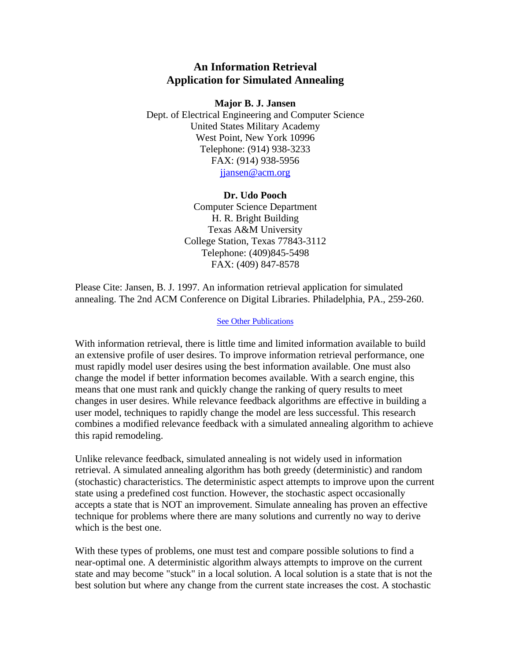## **An Information Retrieval Application for Simulated Annealing**

## **Major B. J. Jansen**

Dept. of Electrical Engineering and Computer Science United States Military Academy West Point, New York 10996 Telephone: (914) 938-3233 FAX: (914) 938-5956 jiansen@acm.org

## **Dr. Udo Pooch**

Computer Science Department H. R. Bright Building Texas A&M University College Station, Texas 77843-3112 Telephone: (409)845-5498 FAX: (409) 847-8578

Please Cite: Jansen, B. J. 1997. An information retrieval application for simulated annealing. The 2nd ACM Conference on Digital Libraries. Philadelphia, PA., 259-260.

## See Other Publications

With information retrieval, there is little time and limited information available to build an extensive profile of user desires. To improve information retrieval performance, one must rapidly model user desires using the best information available. One must also change the model if better information becomes available. With a search engine, this means that one must rank and quickly change the ranking of query results to meet changes in user desires. While relevance feedback algorithms are effective in building a user model, techniques to rapidly change the model are less successful. This research combines a modified relevance feedback with a simulated annealing algorithm to achieve this rapid remodeling.

Unlike relevance feedback, simulated annealing is not widely used in information retrieval. A simulated annealing algorithm has both greedy (deterministic) and random (stochastic) characteristics. The deterministic aspect attempts to improve upon the current state using a predefined cost function. However, the stochastic aspect occasionally accepts a state that is NOT an improvement. Simulate annealing has proven an effective technique for problems where there are many solutions and currently no way to derive which is the best one.

With these types of problems, one must test and compare possible solutions to find a near-optimal one. A deterministic algorithm always attempts to improve on the current state and may become "stuck" in a local solution. A local solution is a state that is not the best solution but where any change from the current state increases the cost. A stochastic